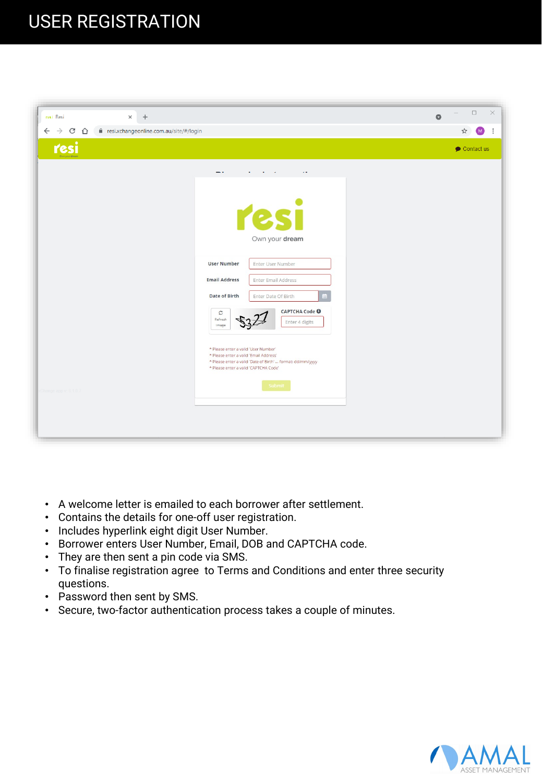

 $\Box$ 

|           | $\cdot$ Athl $\boxtimes$ |                | hqqo@p@hiql⊠ | d⊠          | loolto⊠ | aqopoqqhkq⊠ |   |  |         |
|-----------|--------------------------|----------------|--------------|-------------|---------|-------------|---|--|---------|
| $\bullet$ | $\overline{\phantom{0}}$ |                |              |             | П       |             |   |  |         |
| $\bullet$ |                          | $\blacksquare$ | П            | ┑           |         |             |   |  |         |
|           | $\bullet$ $\Box$         |                |              |             |         | ┑           | П |  |         |
| $\bullet$ |                          |                | ПП           |             |         |             |   |  |         |
| $\bullet$ | . 1                      | П              |              | Π<br>$\Box$ | П       |             | Л |  | $\perp$ |
| $\bullet$ |                          |                |              |             |         |             |   |  |         |
| $\bullet$ |                          | П              |              |             |         | ┐⊓          |   |  |         |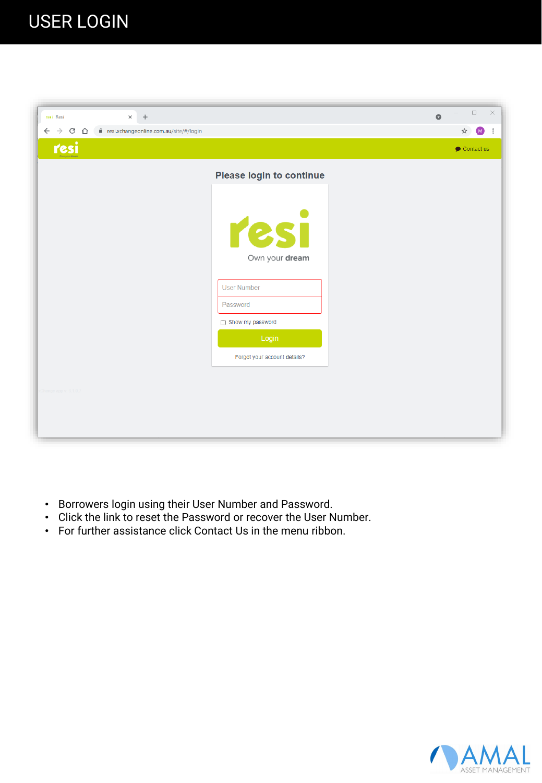| $+$<br>resi Resi<br>$\times$                                                            | $\bullet$                      | $\times$<br>$\Box$   |
|-----------------------------------------------------------------------------------------|--------------------------------|----------------------|
| $\leftarrow$ $\rightarrow$ C $\leftarrow$  <br>e resi.xchangeonline.com.au/site/#/login |                                | ☆<br>M<br>$\cdot$ :  |
| resi                                                                                    |                                | $\bullet$ Contact us |
|                                                                                         | Please login to continue       |                      |
|                                                                                         | resi<br>Own your dream         |                      |
|                                                                                         | <b>User Number</b><br>Password |                      |
|                                                                                         | Show my password               |                      |
|                                                                                         | Login                          |                      |
|                                                                                         | Forgot your account details?   |                      |
|                                                                                         |                                |                      |
| cChange app v: 6.1.0.7                                                                  |                                |                      |
|                                                                                         |                                |                      |
|                                                                                         |                                |                      |

- Borrowers login using their User Number and Password.
- Click the link to reset the Password or recover the User Number.
- For further assistance click Contact Us in the menu ribbon.

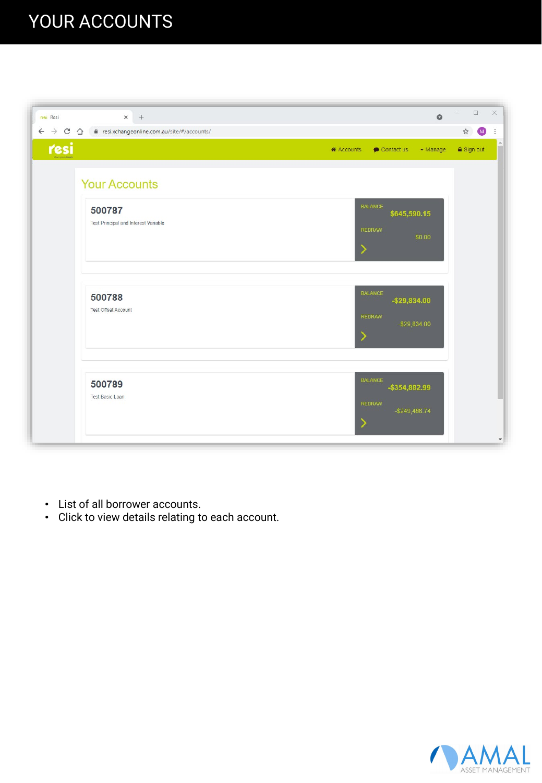### YOUR ACCOUNTS

| resi Resi                             | $\times$<br>$+$                                | $\bullet$                                                                                         | $\square$<br>$\qquad \qquad$    | $\times$                 |
|---------------------------------------|------------------------------------------------|---------------------------------------------------------------------------------------------------|---------------------------------|--------------------------|
| $\leftarrow$ $\rightarrow$ C $\Omega$ | esi.xchangeonline.com.au/site/#/accounts/      |                                                                                                   | $\blacksquare$<br>$\frac{1}{M}$ | ÷                        |
| resi                                  |                                                | $\blacktriangleright$ Manage<br><b>A</b> Accounts<br>Contact us                                   | a Sign out                      |                          |
|                                       | <b>Your Accounts</b>                           |                                                                                                   |                                 |                          |
|                                       | 500787<br>Test Principal and Interest Variable | <b>BALANCE</b><br>\$645,590.15<br><b>REDRAW</b><br>\$0.00<br>⋗                                    |                                 |                          |
|                                       | 500788<br><b>Test Offset Account</b>           | <b>BALANCE</b><br>$-$ \$29,834.00<br><b>REDRAW</b><br>$-$ \$29,834.00<br>$\overline{\phantom{a}}$ |                                 |                          |
|                                       | 500789<br><b>Test Basic Loan</b>               | <b>BALANCE</b><br>-\$354,882.99<br><b>REDRAW</b><br>$-$ \$249,486.74<br>D                         |                                 | $\overline{\phantom{a}}$ |

- List of all borrower accounts.
- Click to view details relating to each account.

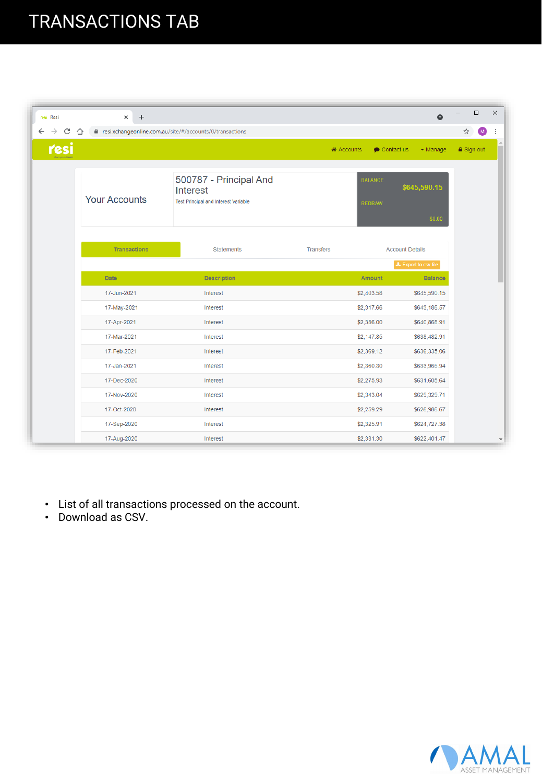### TRANSACTIONS TAB

| resi Resi                          | $\ddot{}$<br>$\times$ |                                                                                   |                  |                                    | $\bullet$                    | $\Box$              | $\times$ |
|------------------------------------|-----------------------|-----------------------------------------------------------------------------------|------------------|------------------------------------|------------------------------|---------------------|----------|
| C<br>$\leftarrow$<br>$\rightarrow$ | ∩                     | e resi.xchangeonline.com.au/site/#/accounts/0/transactions                        |                  |                                    |                              | $\blacksquare$<br>☆ |          |
| resi                               |                       |                                                                                   |                  | $\bullet$ Contact us<br>i Accounts | $\blacktriangleright$ Manage | <b>△</b> Sign out   |          |
|                                    | <b>Your Accounts</b>  | 500787 - Principal And<br>Interest<br><b>Test Principal and Interest Variable</b> |                  | <b>BALANCE</b><br><b>REDRAW</b>    | \$645,590.15<br>\$0.00       |                     |          |
|                                    | <b>Transactions</b>   | <b>Statements</b>                                                                 | <b>Transfers</b> |                                    | <b>Account Details</b>       |                     |          |
|                                    |                       |                                                                                   |                  |                                    | <b>±</b> Export to csv file  |                     |          |
|                                    | Date                  | <b>Description</b>                                                                |                  | Amount                             | <b>Balance</b>               |                     |          |
|                                    | 17-Jun-2021           | Interest                                                                          |                  | \$2,403.58                         | \$645,590.15                 |                     |          |
|                                    | 17-May-2021           | Interest                                                                          |                  | \$2,317.66                         | \$643,186.57                 |                     |          |
|                                    | 17-Apr-2021           | Interest                                                                          |                  | \$2,386.00                         | \$640,868.91                 |                     |          |
|                                    | 17-Mar-2021           | Interest                                                                          |                  | \$2,147.85                         | \$638,482.91                 |                     |          |
|                                    | 17-Feb-2021           | Interest                                                                          |                  | \$2,369.12                         | \$636,335.06                 |                     |          |
|                                    | 17-Jan-2021           | Interest                                                                          |                  | \$2,360.30                         | \$633,965.94                 |                     |          |
|                                    | 17-Dec-2020           | Interest                                                                          |                  | \$2,275.93                         | \$631,605.64                 |                     |          |
|                                    | 17-Nov-2020           | Interest                                                                          |                  | \$2,343.04                         | \$629,329.71                 |                     |          |
|                                    | 17-Oct-2020           | Interest                                                                          |                  | \$2,259.29                         | \$626,986.67                 |                     |          |
|                                    | 17-Sep-2020           | Interest                                                                          |                  | \$2,325.91                         | \$624,727.38                 |                     |          |
|                                    | 17-Aug-2020           | Interest                                                                          |                  | \$2,331.30                         | \$622,401.47                 |                     |          |

- List of all transactions processed on the account.
- Download as CSV.

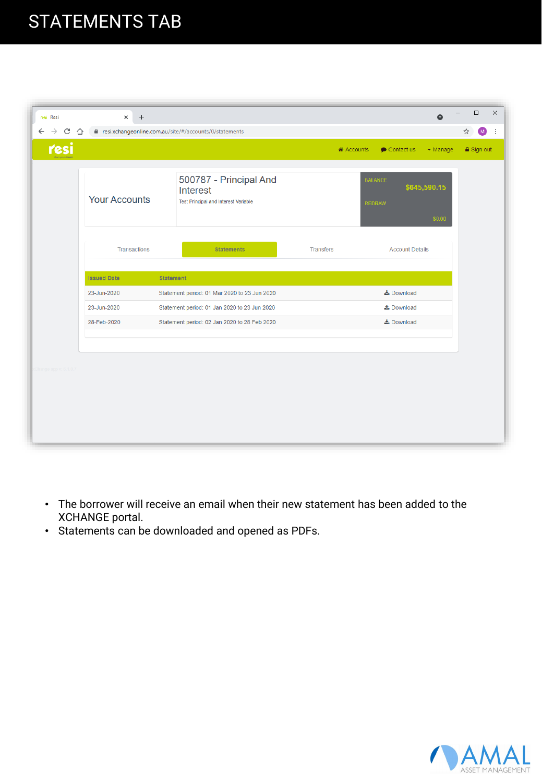#### STATEMENTS TAB

| resi Resi                               | $\times$<br>$\ddot{}$                                  |                                                                            |                                    | $\bullet$                    | $\Box$              | $\times$ |
|-----------------------------------------|--------------------------------------------------------|----------------------------------------------------------------------------|------------------------------------|------------------------------|---------------------|----------|
| C<br>$\leftarrow$<br>$\rightarrow$<br>⇧ | resi.xchangeonline.com.au/site/#/accounts/0/statements |                                                                            |                                    |                              | ☆<br>$\blacksquare$ | ÷        |
| resi                                    |                                                        |                                                                            | i Accounts<br>$\bullet$ Contact us | $\blacktriangleright$ Manage | <b>△</b> Sign out   |          |
|                                         | <b>Your Accounts</b>                                   | 500787 - Principal And<br>Interest<br>Test Principal and Interest Variable | <b>BALANCE</b><br><b>REDRAW</b>    | \$645,590.15<br>\$0.00       |                     |          |
|                                         | <b>Transactions</b>                                    | <b>Statements</b>                                                          | <b>Transfers</b>                   | <b>Account Details</b>       |                     |          |
|                                         | <b>Issued Date</b>                                     | <b>Statement</b>                                                           |                                    |                              |                     |          |
|                                         | 23-Jun-2020                                            | Statement period: 01 Mar 2020 to 23 Jun 2020                               | <b>≛</b> Download                  |                              |                     |          |
|                                         | 23-Jun-2020                                            | Statement period: 01 Jan 2020 to 23 Jun 2020                               | $\frac{1}{26}$ Download            |                              |                     |          |
|                                         | 28-Feb-2020                                            | Statement period: 02 Jan 2020 to 28 Feb 2020                               | La Download                        |                              |                     |          |
|                                         |                                                        |                                                                            |                                    |                              |                     |          |
| Channe                                  |                                                        |                                                                            |                                    |                              |                     |          |

- The borrower will receive an email when their new statement has been added to the XCHANGE portal.
- Statements can be downloaded and opened as PDFs.

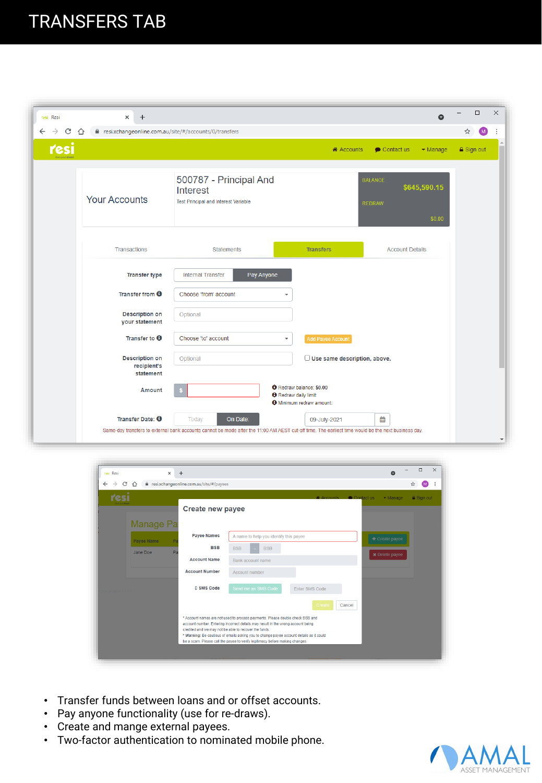#### TRANSFERS TAB

| resi Resi                          | $\times$<br>$+$                                              |                                                                                                                                                                          |                                                                                                    |                                 | $\bullet$                    |   | □                 | $\times$                 |
|------------------------------------|--------------------------------------------------------------|--------------------------------------------------------------------------------------------------------------------------------------------------------------------------|----------------------------------------------------------------------------------------------------|---------------------------------|------------------------------|---|-------------------|--------------------------|
| $\leftarrow$<br>C<br>$\rightarrow$ | e resi.xchangeonline.com.au/site/#/accounts/0/transfers<br>⇧ |                                                                                                                                                                          |                                                                                                    |                                 |                              | ☆ | (M)               |                          |
| resi                               |                                                              |                                                                                                                                                                          | « Accounts                                                                                         | $\bullet$ Contact us            | $\blacktriangleright$ Manage |   | <b>△</b> Sign out |                          |
|                                    | <b>Your Accounts</b>                                         | 500787 - Principal And<br>Interest<br><b>Test Principal and Interest Variable</b>                                                                                        |                                                                                                    | <b>BALANCE</b><br><b>REDRAW</b> | \$645,590.15<br>\$0.00       |   |                   |                          |
|                                    | Transactions                                                 | <b>Statements</b>                                                                                                                                                        | <b>Transfers</b>                                                                                   | <b>Account Details</b>          |                              |   |                   |                          |
|                                    | <b>Transfer type</b>                                         | <b>Internal Transfer</b><br>Pay Anyone                                                                                                                                   |                                                                                                    |                                 |                              |   |                   |                          |
|                                    | Transfer from $\Theta$                                       | Choose 'from' account                                                                                                                                                    | ÷                                                                                                  |                                 |                              |   |                   |                          |
|                                    | <b>Description on</b><br>your statement                      | Optional                                                                                                                                                                 |                                                                                                    |                                 |                              |   |                   |                          |
|                                    | Transfer to $\boldsymbol{\Theta}$                            | Choose 'to' account                                                                                                                                                      | Add Payee Account<br>▼                                                                             |                                 |                              |   |                   |                          |
|                                    | <b>Description on</b><br>recipient's<br>statement            | Optional                                                                                                                                                                 | Use same description, above.                                                                       |                                 |                              |   |                   |                          |
|                                    | <b>Amount</b>                                                |                                                                                                                                                                          | <b>O</b> Redraw balance: \$0.00<br><b>O</b> Redraw daily limit:<br><b>O</b> Minimum redraw amount: |                                 |                              |   |                   |                          |
|                                    | Transfer Date: <b>O</b>                                      | On Date:<br>Today<br>Same-day transfers to external bank accounts cannot be made after the 11:00 AM AEST cut-off time. The earliest time would be the next business day. | 09-July-2021                                                                                       | 雦                               |                              |   |                   | $\overline{\phantom{a}}$ |

| resi Resi                          | $\times$         | $+$                                     | Q                                                                                                                                                                                                                          | $\Box$              | $\times$ |
|------------------------------------|------------------|-----------------------------------------|----------------------------------------------------------------------------------------------------------------------------------------------------------------------------------------------------------------------------|---------------------|----------|
| C<br>$\leftarrow$<br>$\rightarrow$ | $\hat{ }$        | resi.xchangeonline.com.au/site/#/payees |                                                                                                                                                                                                                            | $\blacksquare$<br>☆ |          |
| resi                               |                  |                                         | <b>«</b> Accounts ● Contact us<br>$\blacktriangleright$ Manage                                                                                                                                                             | <b>△</b> Sign out   |          |
|                                    |                  | <b>Create new payee</b>                 |                                                                                                                                                                                                                            |                     |          |
|                                    | <b>Manage Pa</b> |                                         |                                                                                                                                                                                                                            |                     |          |
|                                    | Payee Name       | <b>Payee Names</b>                      | A name to help you identify this payee<br>+ Create payee                                                                                                                                                                   |                     |          |
|                                    | Jane Doe<br>Pa   | <b>BSB</b>                              | <b>BSB</b><br><b>BSB</b>                                                                                                                                                                                                   |                     |          |
|                                    |                  | <b>Account Name</b>                     | <b>*</b> Delete payee<br>Bank account name                                                                                                                                                                                 |                     |          |
|                                    |                  | <b>Account Number</b>                   | Account number                                                                                                                                                                                                             |                     |          |
|                                    |                  | <b>D SMS Code</b>                       | Send me an SMS Code<br>Enter SMS Code                                                                                                                                                                                      |                     |          |
|                                    |                  |                                         | Cancel<br>Create                                                                                                                                                                                                           |                     |          |
|                                    |                  |                                         | * Account names are not used to process payments. Please double check BSB and<br>account number. Entering incorrect details may result in the wrong account being<br>credited and we may not be able to recover the funds. |                     |          |
|                                    |                  |                                         | * Warning: Be cautious of emails asking you to change payee account details as it could<br>be a scam. Please call the payee to verify legitimacy before making changes.                                                    |                     |          |
|                                    |                  |                                         |                                                                                                                                                                                                                            |                     |          |

- Transfer funds between loans and or offset accounts.
- Pay anyone functionality (use for re-draws).
- Create and mange external payees.
- Two-factor authentication to nominated mobile phone.

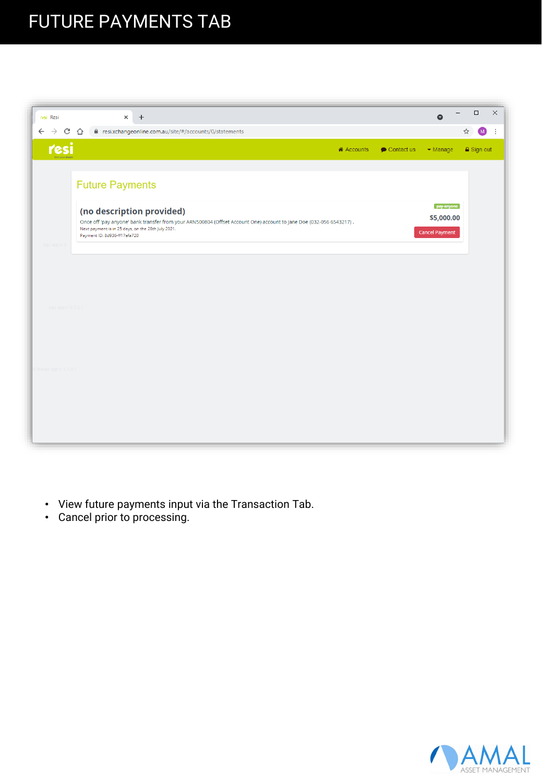### FUTURE PAYMENTS TAB



- View future payments input via the Transaction Tab.
- Cancel prior to processing.

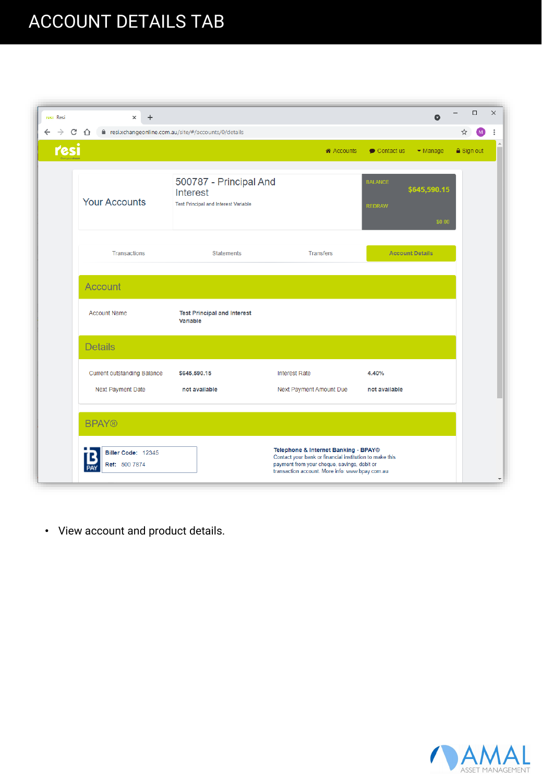## ACCOUNT DETAILS TAB

| $\ddot{}$<br>$\times$                                   |                                                                                          |                                                                                                                                                                                                   |                                 | $\bullet$                    | $\Box$               |
|---------------------------------------------------------|------------------------------------------------------------------------------------------|---------------------------------------------------------------------------------------------------------------------------------------------------------------------------------------------------|---------------------------------|------------------------------|----------------------|
| CΔ                                                      | e resi.xchangeonline.com.au/site/#/accounts/0/details                                    |                                                                                                                                                                                                   |                                 |                              | ☆<br>$\blacksquare$  |
| resi                                                    |                                                                                          | i Accounts                                                                                                                                                                                        | $\bullet$ Contact us            | $\blacktriangleright$ Manage | $\triangle$ Sign out |
| <b>Your Accounts</b>                                    | 500787 - Principal And<br><b>Interest</b><br><b>Test Principal and Interest Variable</b> |                                                                                                                                                                                                   | <b>BALANCE</b><br><b>REDRAW</b> | \$645,590.15<br>\$0.00       |                      |
| Transactions                                            | <b>Statements</b>                                                                        | <b>Transfers</b>                                                                                                                                                                                  |                                 | <b>Account Details</b>       |                      |
| Account                                                 |                                                                                          |                                                                                                                                                                                                   |                                 |                              |                      |
| <b>Account Name</b>                                     | <b>Test Principal and Interest</b><br>Variable                                           |                                                                                                                                                                                                   |                                 |                              |                      |
| <b>Details</b>                                          |                                                                                          |                                                                                                                                                                                                   |                                 |                              |                      |
| <b>Current outstanding Balance</b><br>Next Payment Date | \$645,590.15<br>not available                                                            | <b>Interest Rate</b><br>Next Payment Amount Due                                                                                                                                                   | 4.40%<br>not available          |                              |                      |
| <b>BPAY®</b>                                            |                                                                                          |                                                                                                                                                                                                   |                                 |                              |                      |
| Biller Code: 12345<br>Ref: 500 7874                     |                                                                                          | Telephone & Internet Banking - BPAY®<br>Contact your bank or financial institution to make this<br>payment from your cheque, savings, debit or<br>transaction account. More info: www.bpay.com.au |                                 |                              |                      |

• View account and product details.